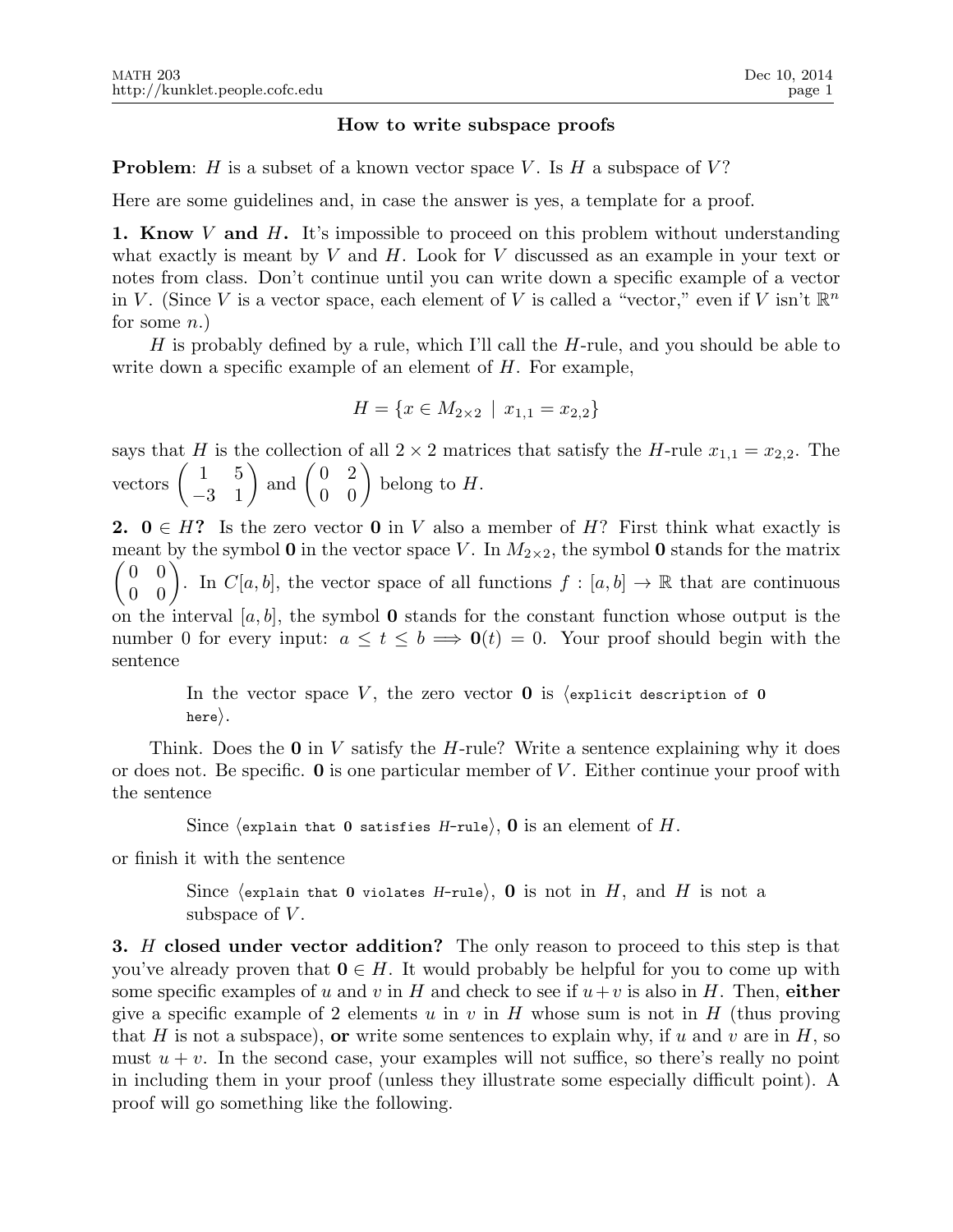## How to write subspace proofs

**Problem:** H is a subset of a known vector space V. Is H a subspace of V?

Here are some guidelines and, in case the answer is yes, a template for a proof.

**1. Know** V and H. It's impossible to proceed on this problem without understanding what exactly is meant by  $V$  and  $H$ . Look for  $V$  discussed as an example in your text or notes from class. Don't continue until you can write down a specific example of a vector in V. (Since V is a vector space, each element of V is called a "vector," even if V isn't  $\mathbb{R}^n$ for some  $n.$ )

H is probably defined by a rule, which I'll call the H-rule, and you should be able to write down a specific example of an element of  $H$ . For example,

$$
H = \{ x \in M_{2 \times 2} \mid x_{1,1} = x_{2,2} \}
$$

says that H is the collection of all  $2 \times 2$  matrices that satisfy the H-rule  $x_{1,1} = x_{2,2}$ . The vectors  $\begin{pmatrix} 1 & 5 \\ -3 & 1 \end{pmatrix}$  and  $\begin{pmatrix} 0 & 2 \\ 0 & 0 \end{pmatrix}$  belong to H.

2.  $0 \in H$ ? Is the zero vector 0 in V also a member of H? First think what exactly is meant by the symbol 0 in the vector space V. In  $M_{2\times 2}$ , the symbol 0 stands for the matrix  $\begin{pmatrix} 0 & 0 \\ 0 & 0 \end{pmatrix}$ . In  $C[a, b]$ , the vector space of all functions  $f : [a, b] \to \mathbb{R}$  that are continuous on the interval  $[a, b]$ , the symbol **0** stands for the constant function whose output is the number 0 for every input:  $a \le t \le b \implies \mathbf{0}(t) = 0$ . Your proof should begin with the sentence

> In the vector space V, the zero vector  $\bf{0}$  is (explicit description of 0 here $\rangle$ .

Think. Does the  $\mathbf 0$  in V satisfy the H-rule? Write a sentence explaining why it does or does not. Be specific.  $\bf{0}$  is one particular member of V. Either continue your proof with the sentence

Since (explain that 0 satisfies H-rule), 0 is an element of H.

or finish it with the sentence

Since (explain that 0 violates H-rule), 0 is not in H, and H is not a subspace of  $V$ .

**3.** H closed under vector addition? The only reason to proceed to this step is that you've already proven that  $0 \in H$ . It would probably be helpful for you to come up with some specific examples of u and v in H and check to see if  $u+v$  is also in H. Then, either give a specific example of 2 elements u in v in H whose sum is not in H (thus proving that H is not a subspace), or write some sentences to explain why, if u and v are in H, so must  $u + v$ . In the second case, your examples will not suffice, so there's really no point in including them in your proof (unless they illustrate some especially difficult point). A proof will go something like the following.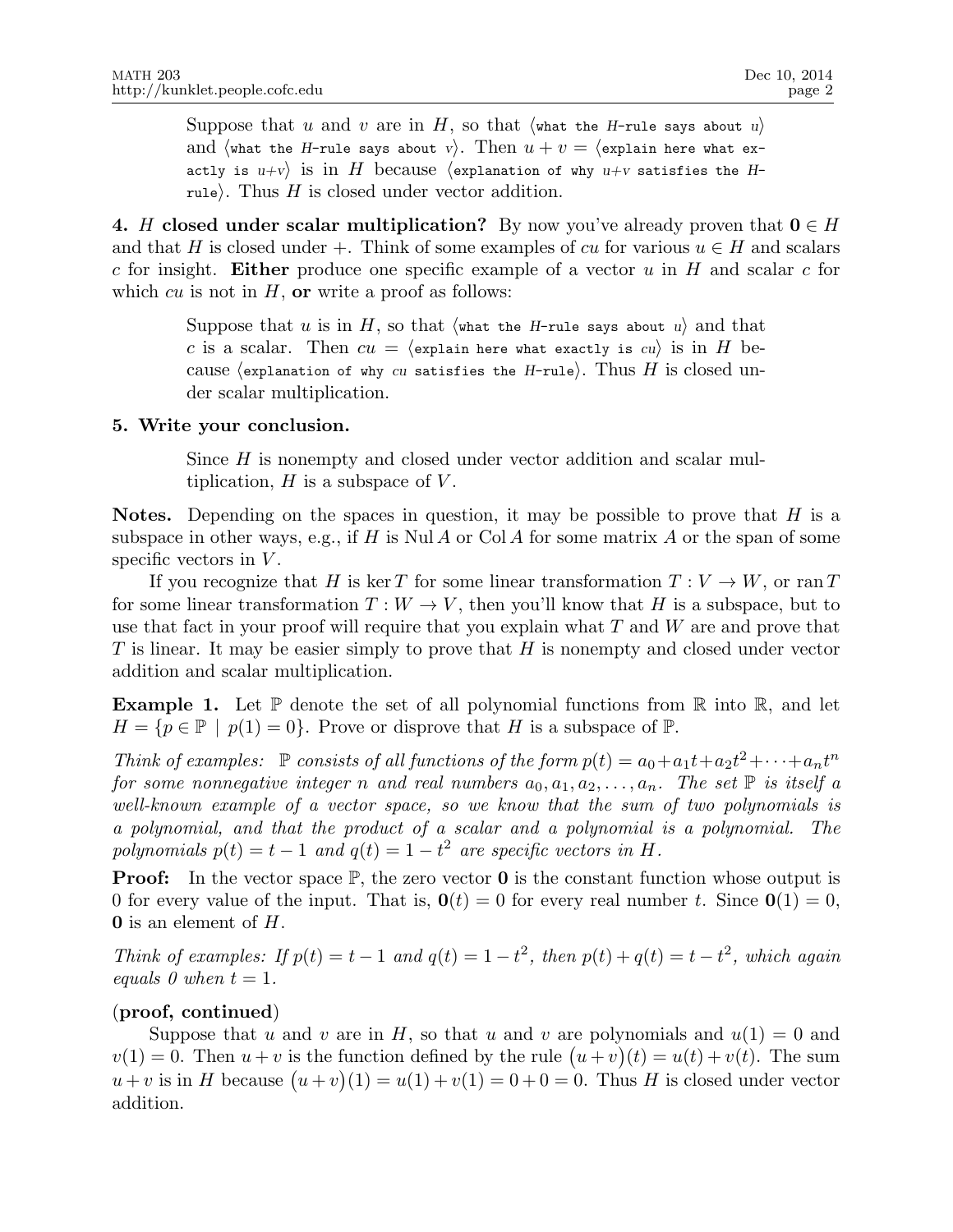Suppose that u and v are in H, so that  $\langle \text{what the } H\text{-rule says about } u \rangle$ and (what the H-rule says about v). Then  $u + v =$  (explain here what exactly is  $u+v$  is in H because (explanation of why  $u+v$  satisfies the Hrule). Thus  $H$  is closed under vector addition.

4. H closed under scalar multiplication? By now you've already proven that  $0 \in H$ and that H is closed under +. Think of some examples of cu for various  $u \in H$  and scalars c for insight. Either produce one specific example of a vector  $u$  in H and scalar c for which cu is not in  $H$ , or write a proof as follows:

> Suppose that u is in H, so that  $\langle \text{what the H-rule says about } u \rangle$  and that c is a scalar. Then  $cu = \langle$  explain here what exactly is cu) is in H because (explanation of why cu satisfies the H-rule). Thus H is closed under scalar multiplication.

# 5. Write your conclusion.

Since H is nonempty and closed under vector addition and scalar multiplication,  $H$  is a subspace of  $V$ .

**Notes.** Depending on the spaces in question, it may be possible to prove that  $H$  is a subspace in other ways, e.g., if H is Nul A or Col A for some matrix A or the span of some specific vectors in  $V$ .

If you recognize that H is ker T for some linear transformation  $T: V \to W$ , or ran T for some linear transformation  $T: W \to V$ , then you'll know that H is a subspace, but to use that fact in your proof will require that you explain what  $T$  and  $W$  are and prove that  $T$  is linear. It may be easier simply to prove that  $H$  is nonempty and closed under vector addition and scalar multiplication.

**Example 1.** Let  $\mathbb{P}$  denote the set of all polynomial functions from  $\mathbb{R}$  into  $\mathbb{R}$ , and let  $H = \{p \in \mathbb{P} \mid p(1) = 0\}.$  Prove or disprove that H is a subspace of  $\mathbb{P}$ .

*Think of examples:*  $\mathbb P$  *consists of all functions of the form*  $p(t) = a_0 + a_1t + a_2t^2 + \cdots + a_nt^n$ *for some nonnegative integer* n *and real numbers*  $a_0, a_1, a_2, \ldots, a_n$ . The set  $\mathbb P$  *is itself* a *well-known example of a vector space, so we know that the sum of two polynomials is a polynomial, and that the product of a scalar and a polynomial is a polynomial. The polynomials*  $p(t) = t - 1$  *and*  $q(t) = 1 - t^2$  *are specific vectors in* H.

**Proof:** In the vector space  $\mathbb{P}$ , the zero vector **0** is the constant function whose output is 0 for every value of the input. That is,  $\mathbf{0}(t) = 0$  for every real number t. Since  $\mathbf{0}(1) = 0$ ,  $\mathbf 0$  is an element of  $H$ .

*Think of examples:* If  $p(t) = t - 1$  and  $q(t) = 1 - t^2$ , then  $p(t) + q(t) = t - t^2$ , which again *equals 0 when*  $t = 1$ *.* 

# (proof, continued)

Suppose that u and v are in H, so that u and v are polynomials and  $u(1) = 0$  and  $v(1) = 0$ . Then  $u + v$  is the function defined by the rule  $(u + v)(t) = u(t) + v(t)$ . The sum  $u + v$  is in H because  $(u + v)(1) = u(1) + v(1) = 0 + 0 = 0$ . Thus H is closed under vector addition.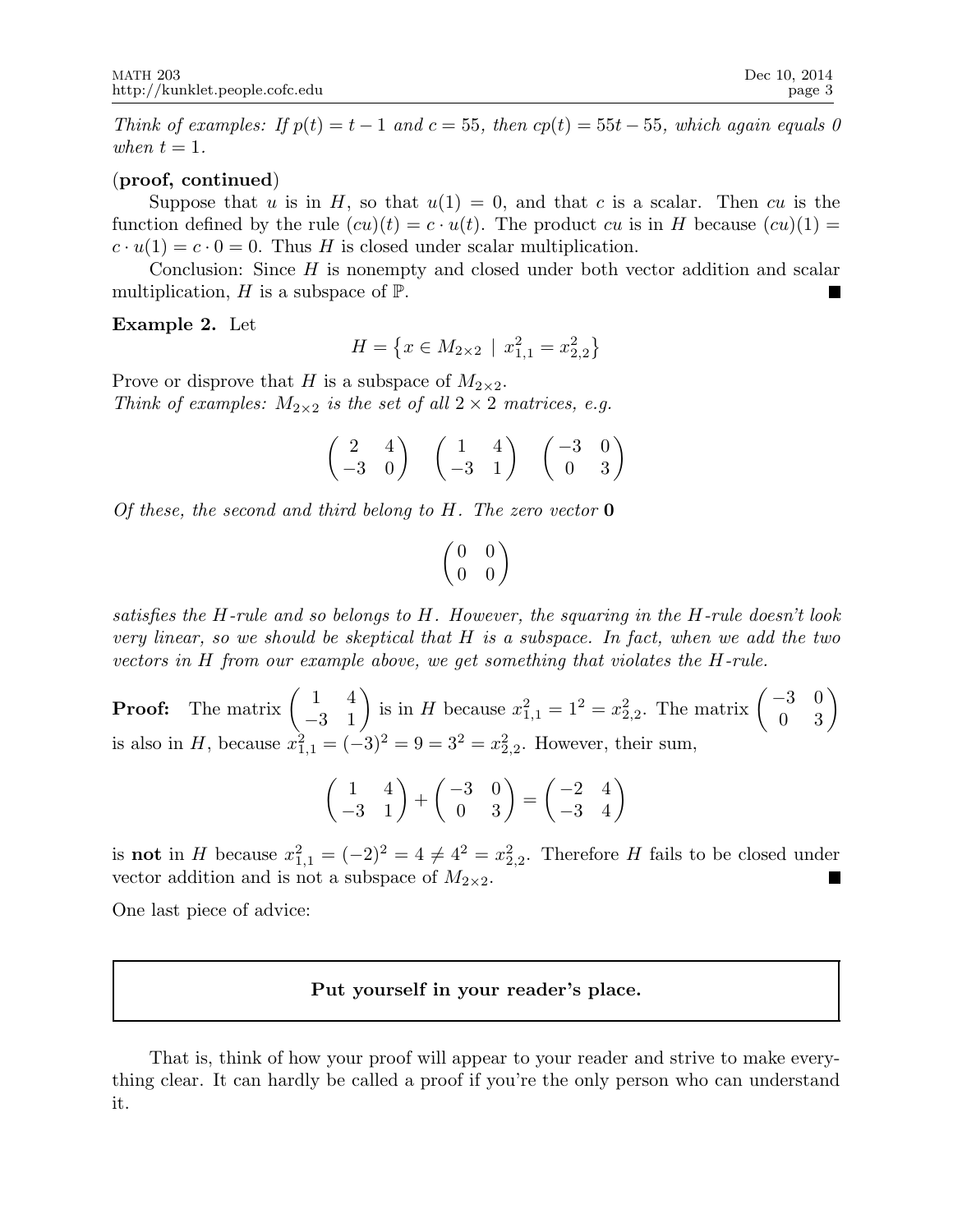*Think of examples: If*  $p(t) = t - 1$  *and*  $c = 55$ *, then*  $cp(t) = 55t - 55$ *, which again equals 0 when*  $t = 1$ *.* 

### (proof, continued)

Suppose that u is in H, so that  $u(1) = 0$ , and that c is a scalar. Then cu is the function defined by the rule  $(cu)(t) = c \cdot u(t)$ . The product cu is in H because  $(cu)(1) =$  $c \cdot u(1) = c \cdot 0 = 0$ . Thus H is closed under scalar multiplication.

Conclusion: Since  $H$  is nonempty and closed under both vector addition and scalar multiplication,  $H$  is a subspace of  $\mathbb{P}$ .

### Example 2. Let

$$
H = \left\{ x \in M_{2 \times 2} \mid x_{1,1}^2 = x_{2,2}^2 \right\}
$$

Prove or disprove that H is a subspace of  $M_{2\times 2}$ . *Think of examples:*  $M_{2\times 2}$  *is the set of all*  $2 \times 2$  *matrices, e.g.* 

$$
\begin{pmatrix} 2 & 4 \ -3 & 0 \end{pmatrix} \quad \begin{pmatrix} 1 & 4 \ -3 & 1 \end{pmatrix} \quad \begin{pmatrix} -3 & 0 \ 0 & 3 \end{pmatrix}
$$

*Of these, the second and third belong to* H*. The zero vector* 0

$$
\begin{pmatrix} 0 & 0 \\ 0 & 0 \end{pmatrix}
$$

*satisfies the* H*-rule and so belongs to* H*. However, the squaring in the* H*-rule doesn't look very linear, so we should be skeptical that* H *is a subspace. In fact, when we add the two vectors in* H *from our example above, we get something that violates the* H*-rule.*

**Proof:** The matrix  $\begin{pmatrix} 1 & 4 \\ -3 & 1 \end{pmatrix}$  is in H because  $x_{1,1}^2 = 1^2 = x_{2,2}^2$ . The matrix  $\begin{pmatrix} -3 & 0 \\ 0 & 3 \end{pmatrix}$ is also in H, because  $x_{1,1}^2 = (-3)^2 = 9 = 3^2 = x_{2,2}^2$ . However, their sum,

$$
\begin{pmatrix} 1 & 4 \ -3 & 1 \end{pmatrix} + \begin{pmatrix} -3 & 0 \ 0 & 3 \end{pmatrix} = \begin{pmatrix} -2 & 4 \ -3 & 4 \end{pmatrix}
$$

is **not** in H because  $x_{1,1}^2 = (-2)^2 = 4 \neq 4^2 = x_{2,2}^2$ . Therefore H fails to be closed under vector addition and is not a subspace of  $M_{2\times 2}$ .

One last piece of advice:

# Put yourself in your reader's place.

That is, think of how your proof will appear to your reader and strive to make everything clear. It can hardly be called a proof if you're the only person who can understand it.